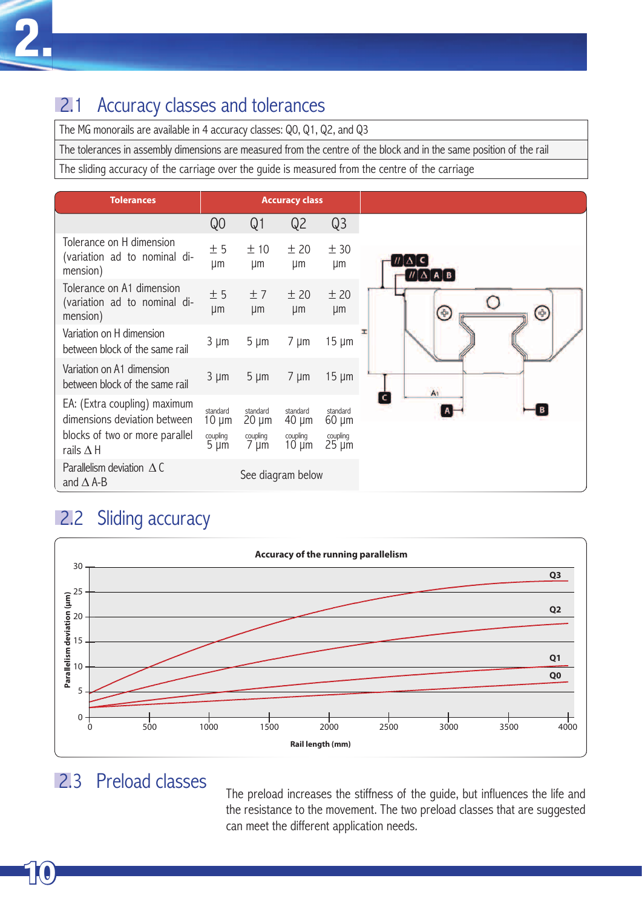# **2.1 Accuracy classes and tolerances**

The MG monorails are available in 4 accuracy classes: Q0, Q1, Q2, and Q3

The tolerances in assembly dimensions are measured from the centre of the block and in the same position of the rail

The sliding accuracy of the carriage over the guide is measured from the centre of the carriage

| <b>Tolerances</b>                                                                                                  | <b>Accuracy class</b>                           |                                                 |                                                  |                                                  |
|--------------------------------------------------------------------------------------------------------------------|-------------------------------------------------|-------------------------------------------------|--------------------------------------------------|--------------------------------------------------|
|                                                                                                                    | Q <sub>O</sub>                                  | Q1                                              | Q <sub>2</sub>                                   | Q <sub>3</sub>                                   |
| Tolerance on H dimension<br>(variation ad to nominal di-<br>mension)                                               | ± 5<br>μm                                       | ±10<br>μm                                       | ±20<br>μm                                        | ± 30<br>µm                                       |
| Tolerance on A1 dimension<br>(variation ad to nominal di-<br>mension)                                              | ± 5<br>µm                                       | ±7<br>μm                                        | ± 20<br>μm                                       | ± 20<br>μm                                       |
| Variation on H dimension<br>between block of the same rail                                                         | $3 \mu m$                                       | $5 \mu m$                                       | $7 \mu m$                                        | $15 \mu m$                                       |
| Variation on A1 dimension<br>between block of the same rail                                                        | $3 \mu m$                                       | $5 \mu m$                                       | $7 \mu m$                                        | $15 \mu m$                                       |
| EA: (Extra coupling) maximum<br>dimensions deviation between<br>blocks of two or more parallel<br>rails $\Delta$ H | standard<br>$10 \mu m$<br>coupling<br>$5 \mu m$ | standard<br>$20 \mu m$<br>coupling<br>$7 \mu m$ | standard<br>$40 \mu m$<br>coupling<br>$10 \mu m$ | standard<br>$60 \mu m$<br>coupling<br>$25 \mu m$ |
| Parallelism deviation $\triangle C$<br>and $\Delta$ A-B                                                            |                                                 |                                                 | See diagram below                                |                                                  |

# **2.2 Sliding accuracy**



### 2.3 Preload classes

The preload increases the stiffness of the guide, but influences the life and the resistance to the movement. The two preload classes that are suggested can meet the different application needs.